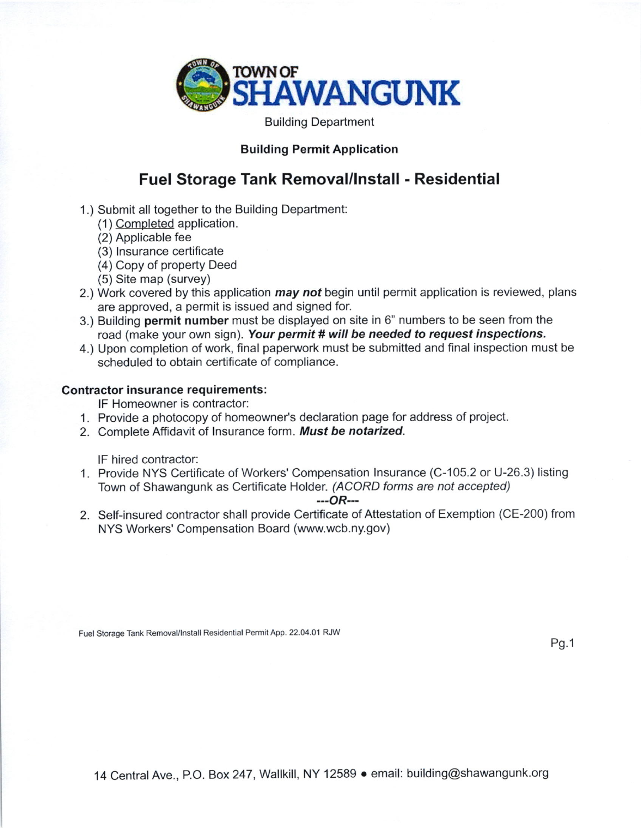

Building Department

### Building Permit Application

## Fuel Storage Tank Removal/lnstall - Residential

- 1.) Submit all together to the Building Department:
	- ( 1 ) Completed application.
	- (2) Applicable fee
	- (3) Insurance certificate
	- (4) Copy of property Deed
	- (5) Site map (survey)
- 2.) Work covered by this application *may not* begin until permit application is reviewed, plans are approved, a permit is issued and signed for.
- 3.) Building permit number must be displayed on site in 6" numbers to be seen from the road (make your own sign). Your permit # will be needed to request inspections.
- 4.) Upon completion of work, final paperwork must be submitted and final inspection must be scheduled to obtain certificate of compliance.

#### Contractor insurance requirements:

lF Homeowner is contractor:

- 1. Provide a photocopy of homeowner's declaration page for address of project.
- 2. Complete Affidavit of Insurance form. Must be notarized.

lF hired contractor:

1. Provide NYS Certificate of Workers' Compensation Insurance (C-105.2 or U-26.3) listing Town of Shawangunk as Certificate Holder. (ACORD forms are not accepted)

#### $-$ - $OR$ ---

2. Self-insured contractor shall provide Certificate of Attestation of Exemption (CE-200) from NYS Workers' Compensation Board (www.wcb.ny.gov)

Fuel Storage Tank Removal/Install Residential Permit App. 22.04.01 RJW

Pg.1